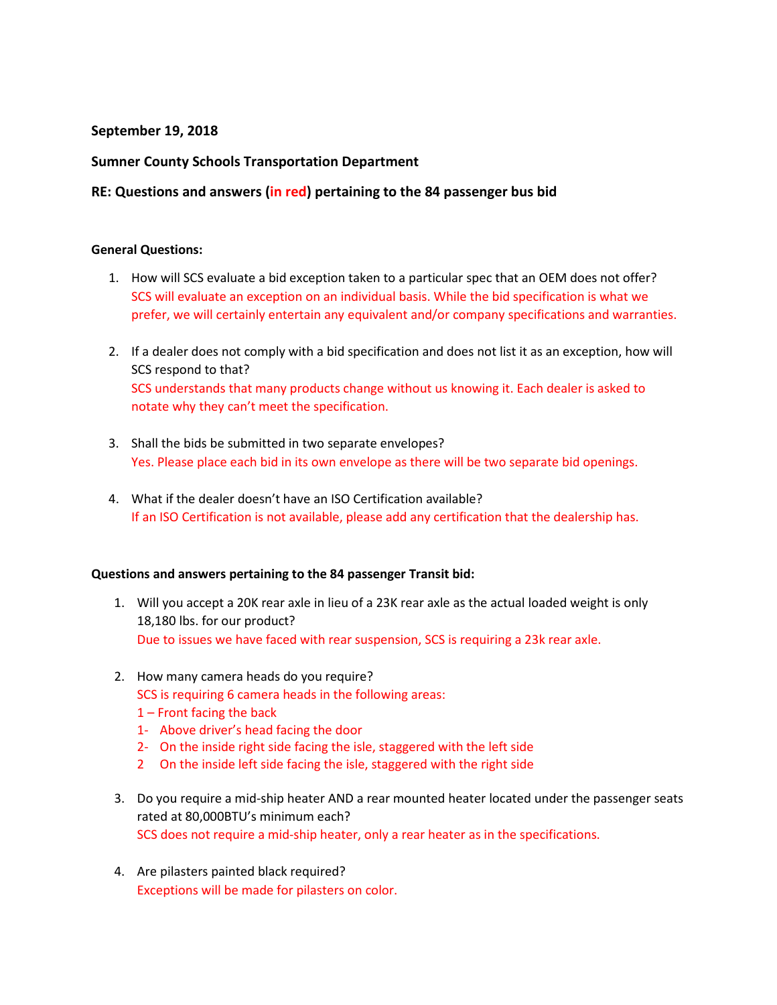## **September 19, 2018**

## **Sumner County Schools Transportation Department**

# **RE: Questions and answers (in red) pertaining to the 84 passenger bus bid**

### **General Questions:**

- 1. How will SCS evaluate a bid exception taken to a particular spec that an OEM does not offer? SCS will evaluate an exception on an individual basis. While the bid specification is what we prefer, we will certainly entertain any equivalent and/or company specifications and warranties.
- 2. If a dealer does not comply with a bid specification and does not list it as an exception, how will SCS respond to that? SCS understands that many products change without us knowing it. Each dealer is asked to notate why they can't meet the specification.
- 3. Shall the bids be submitted in two separate envelopes? Yes. Please place each bid in its own envelope as there will be two separate bid openings.
- 4. What if the dealer doesn't have an ISO Certification available? If an ISO Certification is not available, please add any certification that the dealership has.

#### **Questions and answers pertaining to the 84 passenger Transit bid:**

- 1. Will you accept a 20K rear axle in lieu of a 23K rear axle as the actual loaded weight is only 18,180 lbs. for our product? Due to issues we have faced with rear suspension, SCS is requiring a 23k rear axle.
- 2. How many camera heads do you require?

SCS is requiring 6 camera heads in the following areas:

- 1 Front facing the back
- 1- Above driver's head facing the door
- 2- On the inside right side facing the isle, staggered with the left side
- 2 On the inside left side facing the isle, staggered with the right side
- 3. Do you require a mid-ship heater AND a rear mounted heater located under the passenger seats rated at 80,000BTU's minimum each? SCS does not require a mid-ship heater, only a rear heater as in the specifications.
- 4. Are pilasters painted black required? Exceptions will be made for pilasters on color.